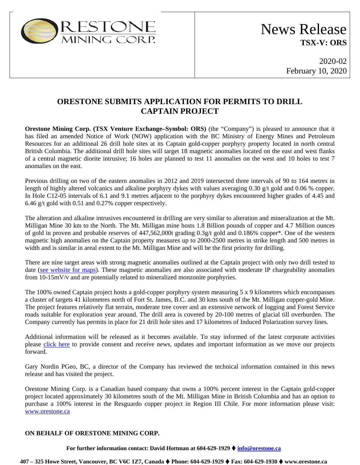

2020-02 February 10, 2020

## **ORESTONE SUBMITS APPLICATION FOR PERMITS TO DRILL CAPTAIN PROJECT**

**Orestone Mining Corp. (TSX Venture Exchange–Symbol: ORS)** (the "Company") is pleased to announce that it has filed an amended Notice of Work (NOW) application with the BC Ministry of Energy Mines and Petroleum Resources for an additional 26 drill hole sites at its Captain gold-copper porphyry property located in north central British Columbia. The additional drill hole sites will target 18 magnetic anomalies located on the east and west flanks of a central magnetic diorite intrusive; 16 holes are planned to test 11 anomalies on the west and 10 holes to test 7 anomalies on the east.

Previous drilling on two of the eastern anomalies in 2012 and 2019 intersected three intervals of 90 to 164 metres in length of highly altered volcanics and alkaline porphyry dykes with values averaging 0.30 g/t gold and 0.06 % copper. In Hole C12-05 intervals of 6.1 and 9.1 metres adjacent to the porphyry dykes encountered higher grades of 4.45 and 6.46 g/t gold with 0.51 and 0.27% copper respectively.

The alteration and alkaline intrusives encountered in drilling are very similar to alteration and mineralization at the Mt. Milligan Mine 30 km to the North. The Mt. Milligan mine hosts 1.8 Billion pounds of copper and 4.7 Million ounces of gold in proven and probable reserves of 447,562,000t grading 0.3g/t gold and 0.186% copper\*. One of the western magnetic high anomalies on the Captain property measures up to 2000-2500 metres in strike length and 500 metres in width and is similar in areal extent to the Mt. Milligan Mine and will be the first priority for drilling.

There are nine target areas with strong magnetic anomalies outlined at the Captain project with only two drill tested to date [\(see website for maps\)](https://www.orestone.ca/projects/captain-property/). These magnetic anomalies are also associated with moderate IP chargeability anomalies from 10-15mV/v and are potentially related to mineralized monzonite porphyries.

The 100% owned Captain project hosts a gold-copper porphyry system measuring 5 x 9 kilometres which encompasses a cluster of targets 41 kilometres north of Fort St. James, B.C. and 30 kms south of the Mt. Milligan copper-gold Mine. The project features relatively flat terrain, moderate tree cover and an extensive network of logging and Forest Service roads suitable for exploration year around. The drill area is covered by 20-100 metres of glacial till overburden. The Company currently has permits in place for 21 drill hole sites and 17 kilometres of Induced Polarization survey lines.

Additional information will be released as it becomes available. To stay informed of the latest corporate activities please [click here](https://orestone.ca/contact/) to provide consent and receive news, updates and important information as we move our projects forward.

Gary Nordin PGeo, BC, a director of the Company has reviewed the technical information contained in this news release and has visited the project.

Orestone Mining Corp. is a Canadian based company that owns a 100% percent interest in the Captain gold-copper project located approximately 30 kilometres south of the Mt. Milligan Mine in British Columbia and has an option to purchase a 100% interest in the Resguardo copper project in Region III Chile. For more information please visit: [www.orestone.ca](http://www.orestone.ca/)

### **ON BEHALF OF ORESTONE MINING CORP.**

**For further information contact: David Hottman at 604-629-1929 [info@orestone.ca](mailto:info@orestone.ca)**

**407 – 325 Howe Street, Vancouver, BC V6C 1Z7, Canada Phone: 604-629-1929 Fax: 604-629-1930 www.orestone.ca**